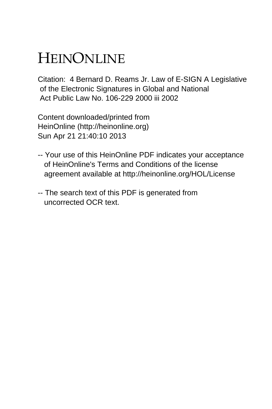# HEINONLINE

Citation: 4 Bernard D. Reams Jr. Law of E-SIGN A Legislative of the Electronic Signatures in Global and National Act Public Law No. 106-229 2000 iii 2002

Content downloaded/printed from HeinOnline (http://heinonline.org) Sun Apr 21 21:40:10 2013

- -- Your use of this HeinOnline PDF indicates your acceptance of HeinOnline's Terms and Conditions of the license agreement available at http://heinonline.org/HOL/License
- -- The search text of this PDF is generated from uncorrected OCR text.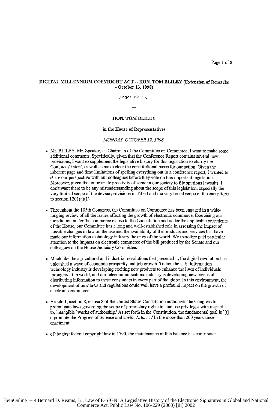# **DIGITAL MILLENNIUM COPYRIGHT ACT -- HON. TOM BLILEY** (Extension of Remarks **- October 13, 1998)**

[Page: **E2136]**

# **HON. TOM BLILEY**

## **in the House of Representatives**

#### *MONDAY OCTOBER 12, 1998*

- **"** Mr. BLILEY. Mr. Speaker, as Chairman of the Committee on Commerce, I want to make some additional comments. Specifically, given that the Conference Report contains several new provisions, I want to supplement the legislative history for this legislation to clarify the Conferees' intent, as well as make clear the constitutional bases for our action. Given the inherent page and time limitations of spelling everything out in a conference report, I wanted to share our perspective with our colleagues before they vote on this important legislation. Moreover, given the unfortunate proclivity of some in our society to file spurious lawsuits, I don't want there to be any misunderstanding about the scope of this legislation, especially the very limited scope of the device provisions in Title I and the very broad scope of the exceptions to section 1201(a)(1).
- Throughout the 105th Congress, the Committee on Commerce has been engaged in a wideranging review of all the issues affecting the growth of electronic commerce. Exercising our jurisdiction under the commerce clause to the Constitution and under the applicable precedents of the House, our Committee has a long and well-established role in assessing the impact of possible changes in law on the use and the availability of the products and services that have made our information technology industry the envy of the world. We therefore paid particular attention to the impacts on electronic commerce of the bill produced by the Senate and our colleagues on the House Judiciary Committee.
- \* Much like the agricultural and industrial revolutions that preceded it, the digital revolution has unleashed a wave of economic prosperity and job growth. Today, the U.S. information technology industry is developing exciting new products to enhance the lives of individuals throughout the world, and our telecommunications industry is developing new means of distributing information to these consumers in every part of the globe. In this environment, the development of new laws and regulations could well have a profound impact on the growth of electronic commerce.
- \* Article 1, section 8, clause 8 of the United States Constitution authorizes the Congress to promulgate laws governing the scope of proprietary rights in, and use privileges with respect to, intangible 'works of authorship.' As set forth in the Constitution, the fundamental goal is **[t]** o promote the Progress of Science and usefiul Arts.... ' In the more than 200 years since enactment
- **"** of the first federal copyright law in 1790, the maintenance of this balance has contributed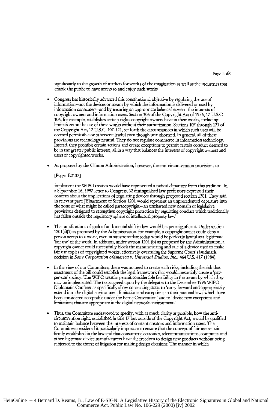significantly to the growth of markets for works of the imagination as well as the industries that enable the public to have access to and enjoy such works.

- Congress has historically advanced this constitutional objective by regulating the use of information--not the devices or means by which the information is delivered or used by information consumers--and by ensuring an appropriate balance between the interests of copyright owners and information users. Section 106 of the Copyright Act of 1976, 17 U.S.C. 106, for example, establishes certain rights copyright owners have in their works, including limitations on the use of these works without their authorization. Sections **107** through 121 of the Copyright Act, 17 U.S.C. 107-121, set forth the circumstances in which such uses will be deemed permissible or otherwise lawful even though unauthorized. In general, all of these provisions are technology neutral, They do not regulate commerce in information technology. Instead, they prohibit certain actions and create exceptions to permit certain conduct deemed to be in the greater public interest, all in a way that balances the interests of copyright owners and users of copyrighted works.
- As proposed by the Clinton Administration, however, the anti-circumvention provisions to

[Page: E2137]

implement the WIPO treaties would have represented a radical departure from this tradition. In a September 16, 1997 letter to Congress, 62 distinguished law professors expressed their concern about the implications of regulating devices through proposed section 1201. They said in relevant part: JE]nactment of Section 1201 would represent an unprecedented departure into the zone of what might be called paracopyright--.an uncharted new domain of legislative provisions designed to strengthen copyright protection by regulating conduct which traditionally has fallen outside the regulatory sphere of intellectual property law.'

- **"** The ramifications of such a fundamental shift in law would be quite significant. Under section 1201(a)(1) as proposed by the Administration, for example, a copyright owner could deny a person access to a work, even in situations that today would be perfectly lawful as a legitimate 'fair use' of the work. In addition, under section 1201 **(b)** as proposed by the Administration, a copyright owner could successfully block the manufacturing and sale of a device used to make fair use copies of copyrighted works, effectively overruling the Supreme Court's landmark decision in *Sony Corporation ofAmerica v. Universal Studios, Inc.,* 464 U.S. 417 (1984).
- In the view of our Committee, there was no need to create such risks, including the risk that enactment of the bill could establish the legal framework that would inexorably create a 'payper-use' society. The WIPO treaties permit considerable flexibility in the means by which they may be implemented. The texts agreed upon by the delegates to the December 1996 WIPO Diplomatic Conference specifically allow contracting states to 'carry forward and appropriately extend into the digital environment limitation and exceptions n their national laws which have been considered acceptable under the Berne Convention' and to 'devise new exceptions and limitations that are appropriate in the digital network environment.'
- Thus, the Committee endeavored to specify, with as much clarity as possible, how the anticircumvention right, established in title 17 but outside of the Copyright Act, would be qualified to maintain balance between the interests of content creators and information users. The Committee considered it particularly important to ensure that the concept of fair use remain firmly established in the law and that consumer electronics, telecommunications, computer, and other legitimate device manufacturers have the freedom to design new products without being subjected to the threat of litigation for making design decisions. The manner in which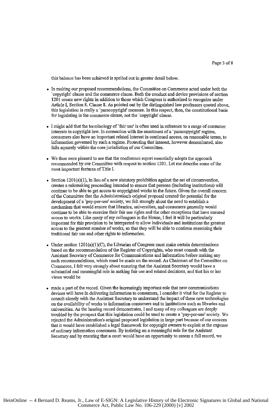this balance has been achieved is spelled out in greater detail below.

- **"** In making our proposed recommendations, the Committee on Commerce acted under both the 'copyright! clause and the commerce clause. Both the conduct and device provisions of section 1201 create new rights in addition to those which Congress is authorized to recognize under Article I, Section 8, Clause 8. As pointed out by the distinguished law professors quoted above, this legislation is really a 'paracopyright! measure. In this respect, then, the constitutional basis for legislating is the commerce clause, not the 'copyright' clause.
- **"** I might add that the terminology of'fair use' is often used in reference to a range of consumer interests in copyright law. In connection with the enactment of a 'paracopyright regime, consumers also have an important related interest in continued access, on reasonable terms, to information governed by such a regime. Protecting that interest, however denominated, also falls squarely within the core jurisdiction of our Committee.
- **"** We thus were pleased to see that the conference report essentially adopts the approach recommended by our Committee with respect to section 1201. Let me describe some of the most important features of Title I.
- **"** Section 1201(a)(1), in lieu of a new statutory prohibition against the act of circumvention, creates a rulemaking proceeding intended to ensure that persons (including institutions) will continue to be able to get access to copyrighted works in the future. Given the overall concern of the Committee that the Administration's original proposal created the potential for the development of a 'pay-per-use' society, we felt strongly about the need to establish a mechanism that would ensure that libraries, universities, and consumers generally would continue to be able to exercise their fair use rights and the other exceptions that have ensured access to works. Like many of my colleagues in the House, I feel it will be particularly important for this provision to be interpreted to allow individuals and institutions the greatest access to the greatest number of works, so that they will be able to continue exercising their traditional fair use and other rights to information.
- Under section  $1201(a)(1)(C)$ , the Librarian of Congress must make certain determinations based on the recommendation of the Register of Copyrights, who must consult with the Assistant Secretary of Commerce for Communications and Information before making any such recommendations, which must be made on the record. As Chairman of the Committee on Commerce, I felt very strongly about ensuring that the Assistant Secretary would have a substantial and meaningful role in making fair use and related decisions, and that his or her views would be
- \* made a part of the record. Given the increasingly important role that new communications devices will have in delivering information to consumers, I consider it vital for the Register to consult closely with the Assistant Secretary to understand the impact of these new technologies on the availability of works to information consumers and to institutions such as libraries and universities. As the heating record demonstrates, I and many of my colleagues are deeply troubled by the prospect that this legislation could be used to create a 'pay-per-use' society. We rejected the Administration's original proposed legislation in large part because of our concern that it would have established a legal framework for copyright owners to exploit at the expense of ordinary information consumers. By insisting on a meaningful role for the Assistant Secretary and by ensuring that a court would have an opportunity to assess a full record, we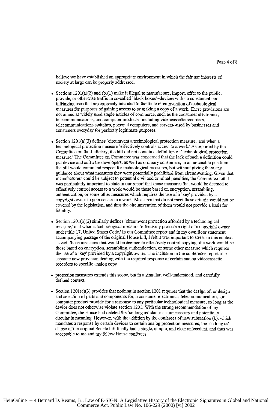believe we have established an appropriate environment in which the fair use interests of society at large can be properly addressed.

- **"** Sections 1201(a)(2) and (b)(1) make it illegal to manufacture, import, offer to the public, provide, or otherwise traffic in so-called 'black boxes'--devices with no substantial noninfringing uses that are expressly intended to facilitate circumvention of technological measures for purposes of gaining access to or making a copy of a work. These provisions are not aimed at widely used staple articles of commerce, such as the consumer electronics, telecommunications, and computer products--including videocassette recorders, telecommunications switches, personal computers, and servers--used by businesses and consumers everyday for perfectly legitimate purposes.
- Section 1201(a)(3) defines 'circumvent a technological protection measure,' and when a technological protection measure 'effectively controls access to a work.' As reported by the Committee on the Judiciary, the bill did not contain a definition of'technological protection measure.' The Committee on Commerce was concerned that the lack of such a definition could put device and software developers, as well as ordinary consumers, in an untenable position: the bill would command respect for technological measures, but without giving them any guidance about what measures they were potentially prohibited from circumventing. Given that manufacturers could be subject to potential civil and criminal penalties, the Committee felt it was particularly important to state in our report that those measures that would be deemed to effectively control access to a work would be those based on encryption, scrambling, authentication, or some other measures which requires the use of a 'key' provided by a copyright owner to gain access to a work. Measures that do not meet these criteria would not be covered by the legislation, and thus the circumvention of them would not provide a basis for liability.
- **"** Section 120 1(b)(2) similarly defines 'circumvent protection afforded **by** a technological measure,' and when a technological measure 'effectively protects a right of a copyright owner under title 17, United States Code.' In our Committee report and in my own floor statement accompanying passage of the original House bill, I felt it was important to stress in this context as well those measures that would be deemed to effectively control copying of a work would be those based on encryption, scrambling, authentication, or some other measure which requires the use of a 'key' provided by a copyright owner. The inclusion in the conference report of a separate new provision dealing with the required response of certain analog videocassette recorders to specific analog copy
- \* protection measures extends this scope, but in a singular, well-understood, and carefully defined context.
- Section  $1201(c)(3)$  provides that nothing in section 1201 requires that the design of, or design and selection of parts and components for, a consumer electronics, telecommunications, or computer product provide for a response to any particular technological measure, so long as the device does not otherwise violate section 1201. With the strong recommendation of my Committee, the House had deleted the 'so long as' clause as unnecessary and potentially circular in meaning. However, with the addition by the conferees of new subsection (k), which mandates a response by certain devices to certain analog protection measures, the 'so long as' clause of the original Senate bill finally had a single, simple, and clear antecedent, and thus was acceptable to me and my fellow House conferees.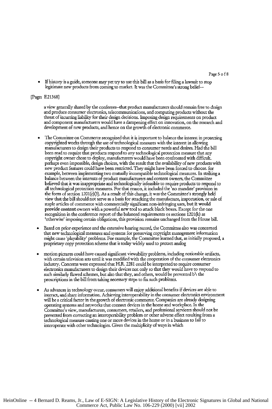If history is a guide, someone may yet try to use this bill as a basis for filing a lawsuit to stop legitimate new products from coming to market. It was the Committee's strong belief-

#### [Page: E21368]

a view generally shared by the conferees--that product manufacturers should remain free to design and produce consumer electronics, telecommunications, and computing products without the threat of incurring liability for their design decisions. Imposing design requirements on product and component manufacturers would have a dampening effect on innovation, on the research and development of new products, and hence on the growth of electronic commerce.

- The Committee on Commerce recognized that it is important to balance the interest in protecting copyrighted works through the use of technological measures with the interest in allowing manufacturers to design their products to respond to consumer needs and desires. Had the bill been read to require that products respond to any technological protection measure that any copyright owner chose to deploy, manufacturers would have been confronted with difficult. perhaps even impossible, design choices, with the result that the availability of new products with new product features could have been restricted. They might have been forced to choose. for example, between implementing two mutually incompatible technological measures. In striking a balance between the interests of product manufacturers and content owners, the Committee believed that it was inappropriate and technologically infeasible to require products to respond to all technological protection measures. For that reason, it included the 'no mandate' provision in the form of section 1201(c)(3). As a result of this change, it was the Committee's strongly held view that the bill should not serve as a basis for attacking the manufacture, importation, or sale of staple articles of commerce with commercially significant non-infringing uses, but it would provide content owners with a powerful new tool to attack black boxes. Except for the one recognition in the conference report of the balanced requirements os sections 1201(k) as 'otherwise' imposing certain obligations, this provision remains unchanged from the House bill.
- Based on prior experience and the extensive hearing record, the Committee also was concerned that new technological measures and systems for preserving copyright management information might cause'playability' problems. For example, the Committee learned that, as initially proposed, a proprieray copy protection scheme that is today widely used to protect analog
- motion pictures could have caused significant viewability problems, including noticeable artifacts, with certain television sets until it was modified with the cooperation of the consumer electronics industry. Concerns were expressed that H.R. 2281 could be interpreted to require consumer electronics manufacturers to design their devices not only so that they would have to respond to such similarly flawed schemes, but also that they, and others, would be prevented b\ the proscriptions in the bill from taling necessary steps to fix such problems.
- As advances in technology occur, consumers will enjoy additional benefits if devices are able to interact, and share information. Achieving interoperability in the consumer electronics environment will be a critical factor in the growth of electronic commerce. Companies are already designing operating systems and networks that connect devices in the home and workplace. In the Committee's view, manufacturers, consumers, retailers, and professional servicers should not be prevented from correcting an interoperability problem or other adverse effect resulting from a technological measure causing one or more devices in the home or in a business to fail to interoperate with other technologies. Given the multiplicity of ways in which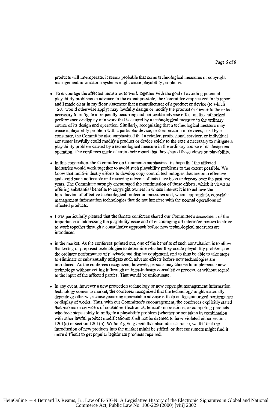products will interoperate, it seems probable that some technological measures or copyright management information systems might cause playability problems.

- To encourage the affected industries to work together with the goal of avoiding potential playability problems in advance to the extent possible, the Committee emphasized in its report and I made clear in my floor statement that a manufacturer of a product or device (to which 1201 would otherwise apply) may lawfully design or modify the product or device to the extent necessary to mitigate a frequently occurring and noticeable adverse effect on the authorized performance or display of a work that is caused by a technological measure in the ordinary course of its design and operation. Similarly, recognizing that a technological measure may cause a playability problem with a particular device, or combination of devices, used by a consumer, the Committee also emphasized that a retailer, professional servicer, or individual consumer lawfully could modify a product or device solely to the extent necessary to mitigate a playability problem caused by a technological measure in the ordinary course of its design and operation. The conferees made clear in their report that they shared these views on playability.
- In this connection, the Committee on Commerce emphasized its hope that the affected industries would work together to avoid such playability problems to the extent possible. We know that multi-industry efforts to develop copy control technologies that are both effective and avoid such noticeable and recurring adverse effects have been underway over the past two years. The Committee strongly encouraged the continuation of those efforts, which it views as offering substantial benefits to copyright owners in whose interest it is to achieve the introduction of effective technological protection measures and, where appropriate, copyright management information technologies that do not interfere with the normal operations of affected products.
- **"** I was particularly pleased that the Senate conferees shared our Committee's assessment of the importance of addressing the playability issue and of encouraging all interested parties to strive to work together through a consultative approach before new technological measures are introduced
- **"** in the market. As the conferees pointed out, one of the benefits of such consultation is to allow the testing of proposed technologies to determine whether they create playability problems on the ordinary performance of playback and display equipment, and to thus be able to take steps to eliminate or substantially mitigate such adverse effects before new technologies are introduced. As the conferees recognized, however, persons may choose to implement a new technology without vetting it through an inter-industry consultative process, or without regard to the input of the affected parties. That would be unfortunate.
- **"** in any event, however a new protection technology or new copyright management information technology comes to market, the conferees recognized that the technology might materially degrade or otherwise cause recurring appreciable adverse effects on the authorized performance or display of works. Thus, with our Committee's encouragement, the conferees explicitly stated that makers or servicers of consumer electronics, telecommunications, or computing products who took steps solely to mitigate a playability problem (whether or not taken in combination with other lawful product modifications) shall not be deemed to have violated either section 1201(a) or section 1201(b). Without giving them that absolute assurance, we felt that the introduction of new products into the market might be stifled, or that consumers might find it more difficult to get popular legitimate products repaired.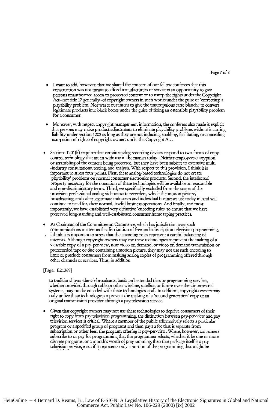- I want to add, however, that we shared the concern of our fellow conferees that this construction was not meant to afford manufacturers or servicers an opportunity to give persons unauthorized access to protected content or to usurp the rights under the Copyright Act--not title 17 generally--of copyright owners in such works under the guise of 'correcting' a playability problem. Nor was it our intent to give the unscrupulous carte blanche to convert legitimate products into black boxes under the guise of fixing an ostensible playability problem for a consumer.
- Moreover, with respect copyright management information, the conferees also made it explicit that persons may make product adjustments to eliminate playability problems without incurring<br>liability under section 1202 as long as they are not inducing, enabling, facilitating, or concealing<br>usurpation of rights of cop
- Sections 1201(k) requires that certain analog recording devices respond to two forms of copy control technology that are in wide use in the market today. Neither employees encryption or scrambling of the content being protected, but they have been subject to extensive multi -industry consultations, testing, and analysis. With respect to this provision, I think it is important to stress four points. First, these analog-based technologies do not create 'playability' problems on normal consumer electronics products. Second, the intellectual property necessary for the operation of these technologies will be available on reasonable and non-discriminatory terms. Third, we specifically excluded from the scope of the provision professional analog videocassette recorders, which the motion picture, broadcasting, and other legitimate industries and individual businesses use today in, and will continue to need for, their normal, lawful business operations. And finally, and most importantly, we have established very definitive'encoding rules' to ensure that we have preserved long-standing and well-established consumer home taping practices.
- As Chairman of the Committee on Commerce, which has jurisdiction over such communications matters as the distribution of free and subscription television programming,
- I think it is important to stress that the encoding rules represent a careful balancing of interests. Although copyright owners may use these technologies to prevent the making of a viewable copy of a pay-per-view, near video on demand, or video on demand transmission or prerecorded tape or disc containing a motion picture, they may not use such encoding to limit or preclude consumers from making analog copies of programming offered through other channels or services. Thus, in addition

## [Page: E21369]

to traditional over-the-air broadcasts, basic and extended tiers or programming services, whether provided through cable or other wireline, satellite, or future over-the-air terrestrial systems, may not be encoded with these technologies at all. In addition, copyright owners may only utilize these technologies to prevent the making of a 'second generation' copy of an original transmission provided through a pay television service.

Given that copyright owners may not use these technologies to deprive consumers of their right to copy from pay television programming, the distinction between pay-per-view and pay television services is critical. Where a member of the public affirmatively selects a particular program or a specified group of programs and then pays a fee that is separate from subscription or other fees, the program offering is pay-per-view. Where, however, consumers subscribe to or pay for programming that the programmer selects, whether it be one or more discrete programs. or a month's worth of programming, then that package itself is a pay television service, even if it represents only a portion of the programming that might be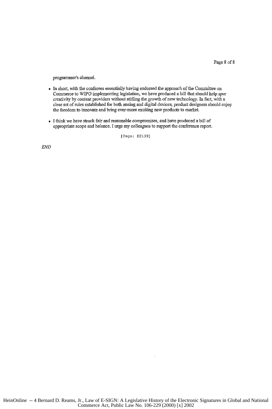Page **8** of 8

programmer's channel.

- **"** In short, with the conferees essentially having endorsed the approach of the Committee on Commerce to WIPO implementing legislation, we have produced a bill that should help spur creativity by content providers without stifling the growth of new technology. In fact, with a clear set of rules established for both analog and digital devices, product designers should enjoy the freedom to innovate and bring ever-more exciting new products to market.
- **"** I think we have struck fair and reasonable compromises, and have produced a bill of appropriate scope and balance. I urge my colleagues to support the conference report.

(Page: E2139]

END